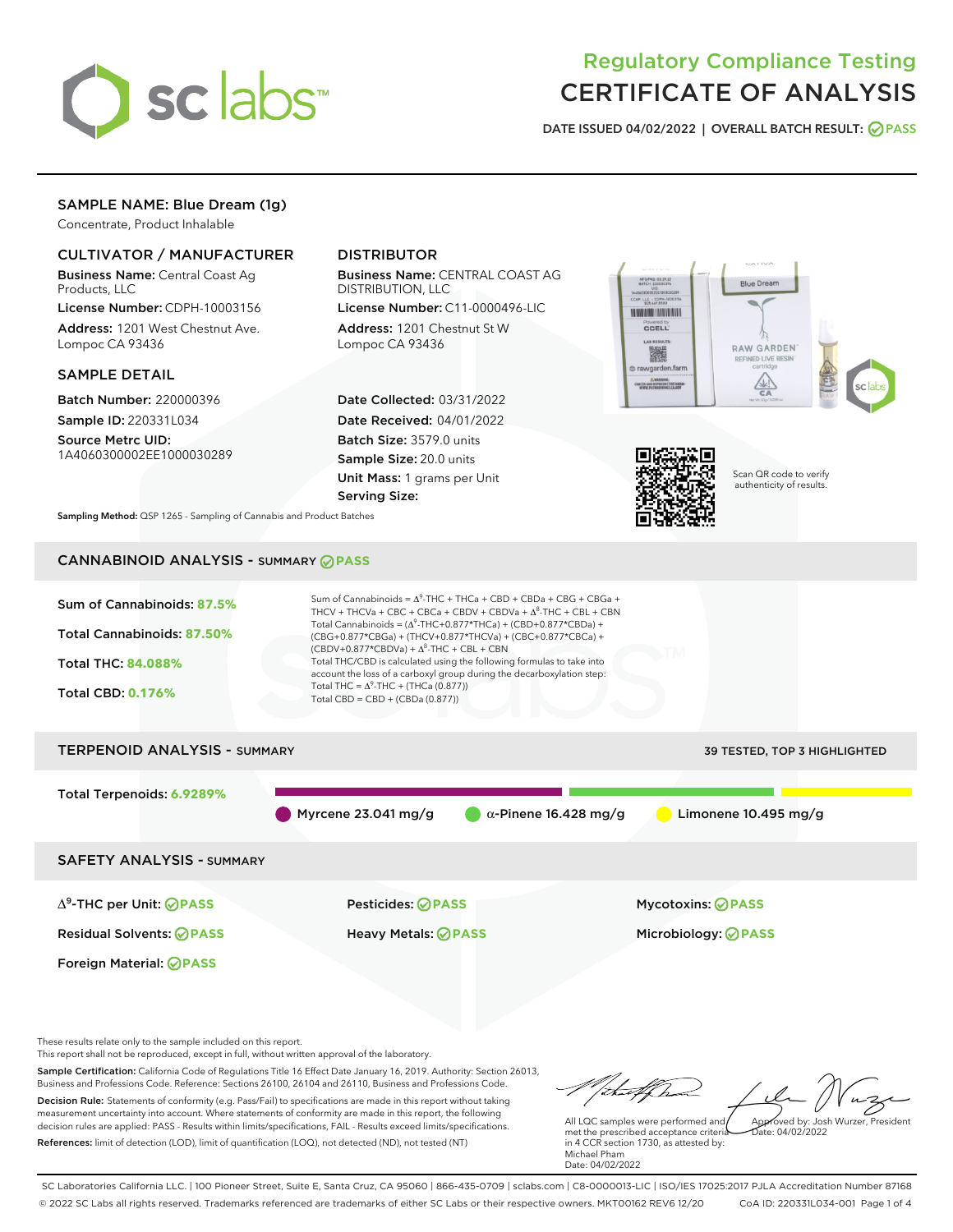

# Regulatory Compliance Testing CERTIFICATE OF ANALYSIS

DATE ISSUED 04/02/2022 | OVERALL BATCH RESULT: @ PASS

# SAMPLE NAME: Blue Dream (1g)

Concentrate, Product Inhalable

# CULTIVATOR / MANUFACTURER

Business Name: Central Coast Ag Products, LLC

License Number: CDPH-10003156 Address: 1201 West Chestnut Ave. Lompoc CA 93436

### SAMPLE DETAIL

Batch Number: 220000396 Sample ID: 220331L034

Source Metrc UID: 1A4060300002EE1000030289

# DISTRIBUTOR

Business Name: CENTRAL COAST AG DISTRIBUTION, LLC

License Number: C11-0000496-LIC Address: 1201 Chestnut St W Lompoc CA 93436

Date Collected: 03/31/2022 Date Received: 04/01/2022 Batch Size: 3579.0 units Sample Size: 20.0 units Unit Mass: 1 grams per Unit Serving Size:





Scan QR code to verify authenticity of results.

Sampling Method: QSP 1265 - Sampling of Cannabis and Product Batches

# CANNABINOID ANALYSIS - SUMMARY **PASS**



This report shall not be reproduced, except in full, without written approval of the laboratory.

Sample Certification: California Code of Regulations Title 16 Effect Date January 16, 2019. Authority: Section 26013, Business and Professions Code. Reference: Sections 26100, 26104 and 26110, Business and Professions Code. Decision Rule: Statements of conformity (e.g. Pass/Fail) to specifications are made in this report without taking measurement uncertainty into account. Where statements of conformity are made in this report, the following decision rules are applied: PASS - Results within limits/specifications, FAIL - Results exceed limits/specifications.

References: limit of detection (LOD), limit of quantification (LOQ), not detected (ND), not tested (NT)

tuff ha Approved by: Josh Wurzer, President

 $ate: 04/02/2022$ 

All LQC samples were performed and met the prescribed acceptance criteria in 4 CCR section 1730, as attested by: Michael Pham Date: 04/02/2022

SC Laboratories California LLC. | 100 Pioneer Street, Suite E, Santa Cruz, CA 95060 | 866-435-0709 | sclabs.com | C8-0000013-LIC | ISO/IES 17025:2017 PJLA Accreditation Number 87168 © 2022 SC Labs all rights reserved. Trademarks referenced are trademarks of either SC Labs or their respective owners. MKT00162 REV6 12/20 CoA ID: 220331L034-001 Page 1 of 4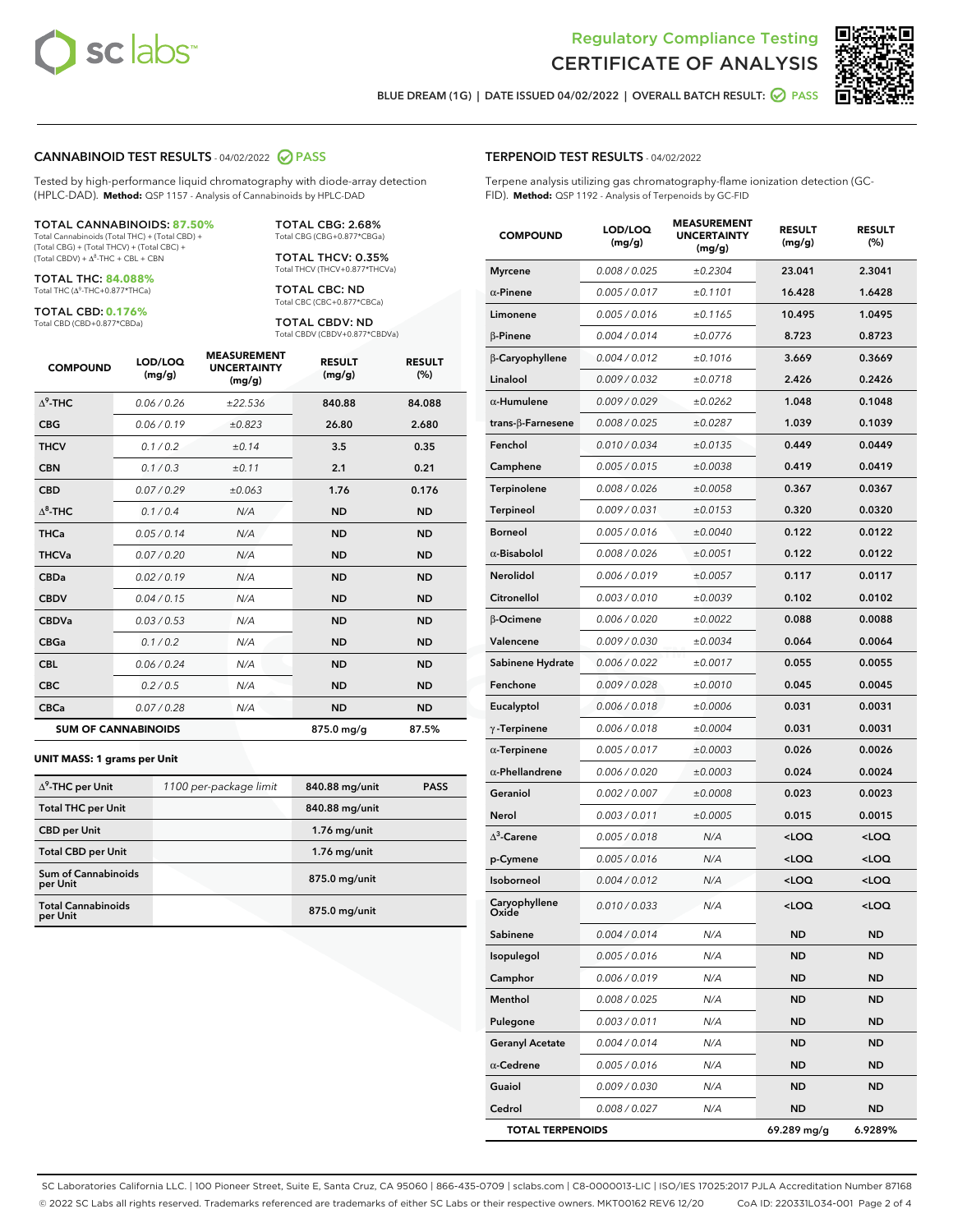



BLUE DREAM (1G) | DATE ISSUED 04/02/2022 | OVERALL BATCH RESULT:  $\bigcirc$  PASS

#### CANNABINOID TEST RESULTS - 04/02/2022 2 PASS

Tested by high-performance liquid chromatography with diode-array detection (HPLC-DAD). **Method:** QSP 1157 - Analysis of Cannabinoids by HPLC-DAD

#### TOTAL CANNABINOIDS: **87.50%**

Total Cannabinoids (Total THC) + (Total CBD) + (Total CBG) + (Total THCV) + (Total CBC) +  $(Total CBDV) +  $\Delta^8$ -THC + CBL + CBN$ 

TOTAL THC: **84.088%** Total THC (Δ<sup>9</sup>-THC+0.877\*THCa)

TOTAL CBD: **0.176%**

Total CBD (CBD+0.877\*CBDa)

TOTAL CBG: 2.68% Total CBG (CBG+0.877\*CBGa)

TOTAL THCV: 0.35% Total THCV (THCV+0.877\*THCVa)

TOTAL CBC: ND Total CBC (CBC+0.877\*CBCa)

TOTAL CBDV: ND Total CBDV (CBDV+0.877\*CBDVa)

| <b>COMPOUND</b>            | LOD/LOQ<br>(mg/g) | <b>MEASUREMENT</b><br><b>UNCERTAINTY</b><br>(mg/g) | <b>RESULT</b><br>(mg/g) | <b>RESULT</b><br>(%) |
|----------------------------|-------------------|----------------------------------------------------|-------------------------|----------------------|
| $\Lambda^9$ -THC           | 0.06 / 0.26       | ±22.536                                            | 840.88                  | 84.088               |
| <b>CBG</b>                 | 0.06/0.19         | ±0.823                                             | 26.80                   | 2.680                |
| <b>THCV</b>                | 0.1/0.2           | ±0.14                                              | 3.5                     | 0.35                 |
| <b>CBN</b>                 | 0.1/0.3           | ±0.11                                              | 2.1                     | 0.21                 |
| <b>CBD</b>                 | 0.07/0.29         | ±0.063                                             | 1.76                    | 0.176                |
| $\Delta^8$ -THC            | 0.1/0.4           | N/A                                                | <b>ND</b>               | <b>ND</b>            |
| <b>THCa</b>                | 0.05/0.14         | N/A                                                | <b>ND</b>               | <b>ND</b>            |
| <b>THCVa</b>               | 0.07 / 0.20       | N/A                                                | <b>ND</b>               | <b>ND</b>            |
| <b>CBDa</b>                | 0.02/0.19         | N/A                                                | <b>ND</b>               | <b>ND</b>            |
| <b>CBDV</b>                | 0.04 / 0.15       | N/A                                                | <b>ND</b>               | <b>ND</b>            |
| <b>CBDVa</b>               | 0.03/0.53         | N/A                                                | <b>ND</b>               | <b>ND</b>            |
| <b>CBGa</b>                | 0.1 / 0.2         | N/A                                                | <b>ND</b>               | <b>ND</b>            |
| <b>CBL</b>                 | 0.06 / 0.24       | N/A                                                | <b>ND</b>               | <b>ND</b>            |
| <b>CBC</b>                 | 0.2 / 0.5         | N/A                                                | <b>ND</b>               | <b>ND</b>            |
| <b>CBCa</b>                | 0.07 / 0.28       | N/A                                                | <b>ND</b>               | <b>ND</b>            |
| <b>SUM OF CANNABINOIDS</b> |                   |                                                    | 875.0 mg/g              | 87.5%                |

#### **UNIT MASS: 1 grams per Unit**

| $\Delta^9$ -THC per Unit               | 1100 per-package limit | 840.88 mg/unit | <b>PASS</b> |
|----------------------------------------|------------------------|----------------|-------------|
| <b>Total THC per Unit</b>              |                        | 840.88 mg/unit |             |
| <b>CBD</b> per Unit                    |                        | $1.76$ mg/unit |             |
| <b>Total CBD per Unit</b>              |                        | $1.76$ mg/unit |             |
| <b>Sum of Cannabinoids</b><br>per Unit |                        | 875.0 mg/unit  |             |
| <b>Total Cannabinoids</b><br>per Unit  |                        | 875.0 mg/unit  |             |

| <b>COMPOUND</b>          | LOD/LOQ<br>(mg/g) | <b>MEASUREMENT</b><br><b>UNCERTAINTY</b><br>(mg/g) | <b>RESULT</b><br>(mg/g)                         | <b>RESULT</b><br>(%) |
|--------------------------|-------------------|----------------------------------------------------|-------------------------------------------------|----------------------|
| <b>Myrcene</b>           | 0.008 / 0.025     | ±0.2304                                            | 23.041                                          | 2.3041               |
| $\alpha$ -Pinene         | 0.005 / 0.017     | ±0.1101                                            | 16.428                                          | 1.6428               |
| Limonene                 | 0.005 / 0.016     | ±0.1165                                            | 10.495                                          | 1.0495               |
| $\beta$ -Pinene          | 0.004 / 0.014     | ±0.0776                                            | 8.723                                           | 0.8723               |
| β-Caryophyllene          | 0.004 / 0.012     | ±0.1016                                            | 3.669                                           | 0.3669               |
| Linalool                 | 0.009/0.032       | ±0.0718                                            | 2.426                                           | 0.2426               |
| $\alpha$ -Humulene       | 0.009 / 0.029     | ±0.0262                                            | 1.048                                           | 0.1048               |
| $trans-\beta$ -Farnesene | 0.008 / 0.025     | ±0.0287                                            | 1.039                                           | 0.1039               |
| Fenchol                  | 0.010 / 0.034     | ±0.0135                                            | 0.449                                           | 0.0449               |
| Camphene                 | 0.005 / 0.015     | ±0.0038                                            | 0.419                                           | 0.0419               |
| Terpinolene              | 0.008 / 0.026     | ±0.0058                                            | 0.367                                           | 0.0367               |
| Terpineol                | 0.009 / 0.031     | ±0.0153                                            | 0.320                                           | 0.0320               |
| <b>Borneol</b>           | 0.005 / 0.016     | ±0.0040                                            | 0.122                                           | 0.0122               |
| $\alpha$ -Bisabolol      | 0.008 / 0.026     | ±0.0051                                            | 0.122                                           | 0.0122               |
| Nerolidol                | 0.006 / 0.019     | ±0.0057                                            | 0.117                                           | 0.0117               |
| Citronellol              | 0.003 / 0.010     | ±0.0039                                            | 0.102                                           | 0.0102               |
| β-Ocimene                | 0.006 / 0.020     | ±0.0022                                            | 0.088                                           | 0.0088               |
| Valencene                | 0.009 / 0.030     | ±0.0034                                            | 0.064                                           | 0.0064               |
| Sabinene Hydrate         | 0.006 / 0.022     | ±0.0017                                            | 0.055                                           | 0.0055               |
| Fenchone                 | 0.009 / 0.028     | ±0.0010                                            | 0.045                                           | 0.0045               |
| Eucalyptol               | 0.006 / 0.018     | ±0.0006                                            | 0.031                                           | 0.0031               |
| $\gamma$ -Terpinene      | 0.006 / 0.018     | ±0.0004                                            | 0.031                                           | 0.0031               |
| $\alpha$ -Terpinene      | 0.005 / 0.017     | ±0.0003                                            | 0.026                                           | 0.0026               |
| $\alpha$ -Phellandrene   | 0.006 / 0.020     | ±0.0003                                            | 0.024                                           | 0.0024               |
| Geraniol                 | 0.002 / 0.007     | ±0.0008                                            | 0.023                                           | 0.0023               |
| Nerol                    | 0.003 / 0.011     | ±0.0005                                            | 0.015                                           | 0.0015               |
| $\Delta^3$ -Carene       | 0.005 / 0.018     | N/A                                                | <loq< th=""><th><loq< th=""></loq<></th></loq<> | <loq< th=""></loq<>  |
| p-Cymene                 | 0.005 / 0.016     | N/A                                                | <loq< th=""><th><loq< th=""></loq<></th></loq<> | <loq< th=""></loq<>  |
| Isoborneol               | 0.004 / 0.012     | N/A                                                | <loq< th=""><th><loq< th=""></loq<></th></loq<> | <loq< th=""></loq<>  |
| Caryophyllene            | 0.010 / 0.033     | N/A                                                | <loq< th=""><th><loq< th=""></loq<></th></loq<> | <loq< th=""></loq<>  |
| Sabinene                 | 0.004 / 0.014     | N/A                                                | ND                                              | ND                   |
| Isopulegol               | 0.005 / 0.016     | N/A                                                | ND                                              | ND                   |
| Camphor                  | 0.006 / 0.019     | N/A                                                | ND                                              | ND                   |
| Menthol                  | 0.008 / 0.025     | N/A                                                | ND                                              | ND                   |
| Pulegone                 | 0.003 / 0.011     | N/A                                                | ND                                              | ND                   |
| <b>Geranyl Acetate</b>   | 0.004 / 0.014     | N/A                                                | ND                                              | ND                   |
| $\alpha$ -Cedrene        | 0.005 / 0.016     | N/A                                                | ND                                              | ND                   |
| Guaiol                   | 0.009 / 0.030     | N/A                                                | ND                                              | ND                   |
| Cedrol                   | 0.008 / 0.027     | N/A                                                | ND                                              | ND                   |
| <b>TOTAL TERPENOIDS</b>  |                   |                                                    | 69.289 mg/g                                     | 6.9289%              |

SC Laboratories California LLC. | 100 Pioneer Street, Suite E, Santa Cruz, CA 95060 | 866-435-0709 | sclabs.com | C8-0000013-LIC | ISO/IES 17025:2017 PJLA Accreditation Number 87168 © 2022 SC Labs all rights reserved. Trademarks referenced are trademarks of either SC Labs or their respective owners. MKT00162 REV6 12/20 CoA ID: 220331L034-001 Page 2 of 4

# TERPENOID TEST RESULTS - 04/02/2022

Terpene analysis utilizing gas chromatography-flame ionization detection (GC-FID). **Method:** QSP 1192 - Analysis of Terpenoids by GC-FID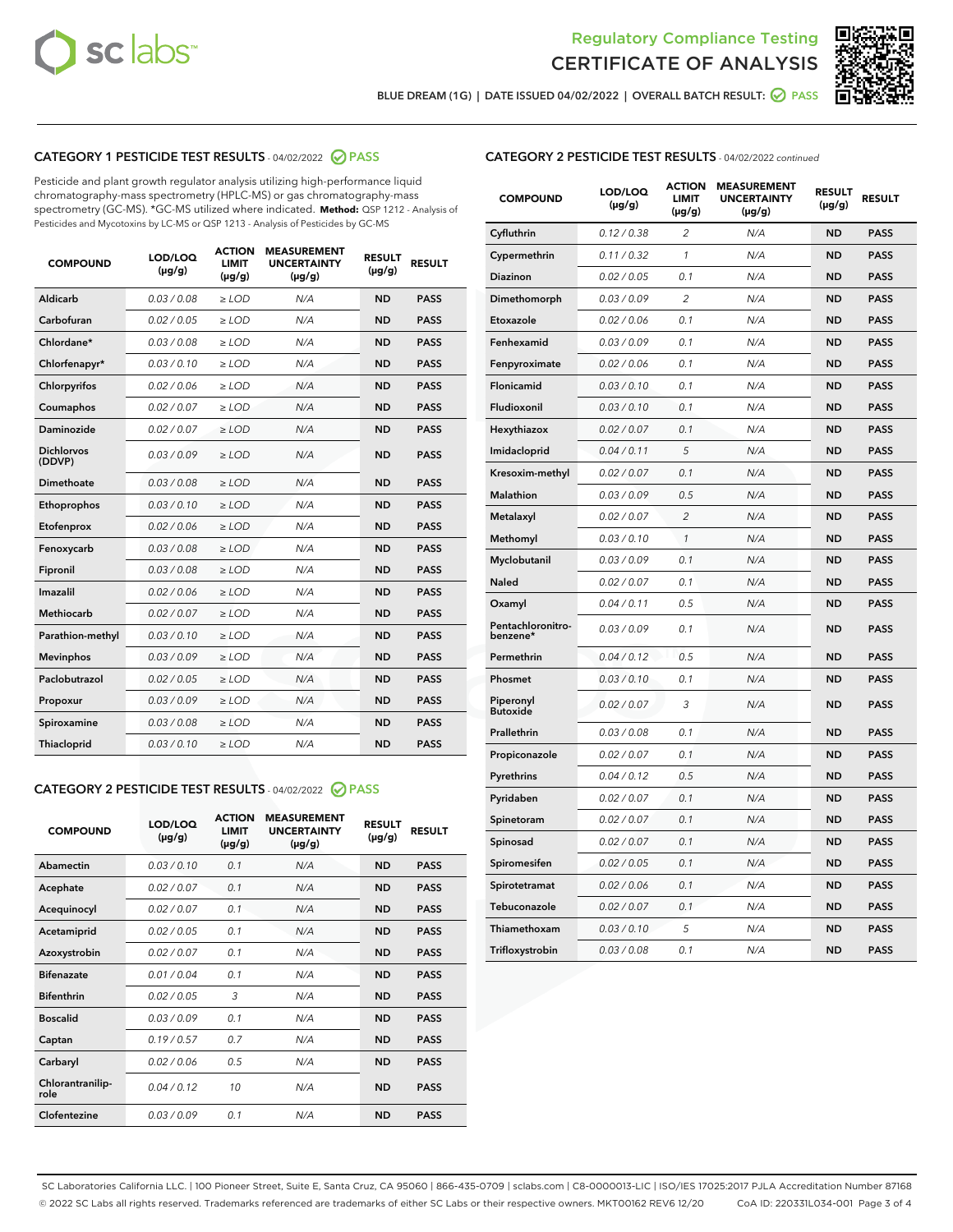



BLUE DREAM (1G) | DATE ISSUED 04/02/2022 | OVERALL BATCH RESULT: 2 PASS

# CATEGORY 1 PESTICIDE TEST RESULTS - 04/02/2022 2 PASS

Pesticide and plant growth regulator analysis utilizing high-performance liquid chromatography-mass spectrometry (HPLC-MS) or gas chromatography-mass spectrometry (GC-MS). \*GC-MS utilized where indicated. **Method:** QSP 1212 - Analysis of Pesticides and Mycotoxins by LC-MS or QSP 1213 - Analysis of Pesticides by GC-MS

| 0.03 / 0.08<br><b>ND</b><br><b>PASS</b><br>Aldicarb<br>$\ge$ LOD<br>N/A<br>Carbofuran<br>0.02/0.05<br>$\ge$ LOD<br>N/A<br><b>ND</b><br><b>PASS</b><br>Chlordane*<br>0.03 / 0.08<br>N/A<br><b>ND</b><br><b>PASS</b><br>$\ge$ LOD<br>Chlorfenapyr*<br>0.03/0.10<br><b>ND</b><br><b>PASS</b><br>$\ge$ LOD<br>N/A<br>Chlorpyrifos<br>0.02/0.06<br>$\ge$ LOD<br>N/A<br><b>ND</b><br><b>PASS</b><br>Coumaphos<br>0.02 / 0.07<br>$\ge$ LOD<br>N/A<br><b>ND</b><br><b>PASS</b><br><b>Daminozide</b><br>0.02 / 0.07<br>$>$ LOD<br>N/A<br><b>ND</b><br><b>PASS</b><br><b>Dichlorvos</b><br>0.03/0.09<br>$\ge$ LOD<br>N/A<br><b>ND</b><br><b>PASS</b><br>(DDVP)<br>Dimethoate<br>0.03/0.08<br>N/A<br><b>ND</b><br><b>PASS</b><br>$>$ LOD<br>Ethoprophos<br>0.03/0.10<br>$\ge$ LOD<br>N/A<br><b>ND</b><br><b>PASS</b><br>0.02 / 0.06<br>N/A<br><b>ND</b><br><b>PASS</b><br>Etofenprox<br>$>$ LOD<br>0.03/0.08<br>$>$ LOD<br>N/A<br><b>ND</b><br><b>PASS</b><br>Fenoxycarb<br>0.03 / 0.08<br><b>ND</b><br><b>PASS</b><br>Fipronil<br>$\ge$ LOD<br>N/A<br>Imazalil<br>0.02 / 0.06<br>$\geq$ LOD<br>N/A<br><b>ND</b><br><b>PASS</b><br><b>Methiocarb</b><br>0.02 / 0.07<br>$\ge$ LOD<br>N/A<br><b>ND</b><br><b>PASS</b><br>Parathion-methyl<br>0.03/0.10<br>$\ge$ LOD<br>N/A<br><b>ND</b><br><b>PASS</b><br>0.03/0.09<br>N/A<br><b>ND</b><br><b>PASS</b><br><b>Mevinphos</b><br>$\ge$ LOD<br>Paclobutrazol<br>0.02 / 0.05<br>$\ge$ LOD<br>N/A<br><b>ND</b><br><b>PASS</b><br>0.03/0.09<br>$\ge$ LOD<br>N/A<br><b>ND</b><br><b>PASS</b><br>Propoxur<br>0.03 / 0.08<br><b>ND</b><br>Spiroxamine<br>$\ge$ LOD<br>N/A<br><b>PASS</b><br><b>ND</b><br>Thiacloprid<br>0.03/0.10<br>$>$ LOD<br>N/A<br><b>PASS</b> | <b>COMPOUND</b> | LOD/LOQ<br>$(\mu g/g)$ | <b>ACTION</b><br><b>LIMIT</b><br>$(\mu g/g)$ | <b>MEASUREMENT</b><br><b>UNCERTAINTY</b><br>$(\mu g/g)$ | <b>RESULT</b><br>$(\mu g/g)$ | <b>RESULT</b> |
|---------------------------------------------------------------------------------------------------------------------------------------------------------------------------------------------------------------------------------------------------------------------------------------------------------------------------------------------------------------------------------------------------------------------------------------------------------------------------------------------------------------------------------------------------------------------------------------------------------------------------------------------------------------------------------------------------------------------------------------------------------------------------------------------------------------------------------------------------------------------------------------------------------------------------------------------------------------------------------------------------------------------------------------------------------------------------------------------------------------------------------------------------------------------------------------------------------------------------------------------------------------------------------------------------------------------------------------------------------------------------------------------------------------------------------------------------------------------------------------------------------------------------------------------------------------------------------------------------------------------------------------------------------------------------------------------|-----------------|------------------------|----------------------------------------------|---------------------------------------------------------|------------------------------|---------------|
|                                                                                                                                                                                                                                                                                                                                                                                                                                                                                                                                                                                                                                                                                                                                                                                                                                                                                                                                                                                                                                                                                                                                                                                                                                                                                                                                                                                                                                                                                                                                                                                                                                                                                             |                 |                        |                                              |                                                         |                              |               |
|                                                                                                                                                                                                                                                                                                                                                                                                                                                                                                                                                                                                                                                                                                                                                                                                                                                                                                                                                                                                                                                                                                                                                                                                                                                                                                                                                                                                                                                                                                                                                                                                                                                                                             |                 |                        |                                              |                                                         |                              |               |
|                                                                                                                                                                                                                                                                                                                                                                                                                                                                                                                                                                                                                                                                                                                                                                                                                                                                                                                                                                                                                                                                                                                                                                                                                                                                                                                                                                                                                                                                                                                                                                                                                                                                                             |                 |                        |                                              |                                                         |                              |               |
|                                                                                                                                                                                                                                                                                                                                                                                                                                                                                                                                                                                                                                                                                                                                                                                                                                                                                                                                                                                                                                                                                                                                                                                                                                                                                                                                                                                                                                                                                                                                                                                                                                                                                             |                 |                        |                                              |                                                         |                              |               |
|                                                                                                                                                                                                                                                                                                                                                                                                                                                                                                                                                                                                                                                                                                                                                                                                                                                                                                                                                                                                                                                                                                                                                                                                                                                                                                                                                                                                                                                                                                                                                                                                                                                                                             |                 |                        |                                              |                                                         |                              |               |
|                                                                                                                                                                                                                                                                                                                                                                                                                                                                                                                                                                                                                                                                                                                                                                                                                                                                                                                                                                                                                                                                                                                                                                                                                                                                                                                                                                                                                                                                                                                                                                                                                                                                                             |                 |                        |                                              |                                                         |                              |               |
|                                                                                                                                                                                                                                                                                                                                                                                                                                                                                                                                                                                                                                                                                                                                                                                                                                                                                                                                                                                                                                                                                                                                                                                                                                                                                                                                                                                                                                                                                                                                                                                                                                                                                             |                 |                        |                                              |                                                         |                              |               |
|                                                                                                                                                                                                                                                                                                                                                                                                                                                                                                                                                                                                                                                                                                                                                                                                                                                                                                                                                                                                                                                                                                                                                                                                                                                                                                                                                                                                                                                                                                                                                                                                                                                                                             |                 |                        |                                              |                                                         |                              |               |
|                                                                                                                                                                                                                                                                                                                                                                                                                                                                                                                                                                                                                                                                                                                                                                                                                                                                                                                                                                                                                                                                                                                                                                                                                                                                                                                                                                                                                                                                                                                                                                                                                                                                                             |                 |                        |                                              |                                                         |                              |               |
|                                                                                                                                                                                                                                                                                                                                                                                                                                                                                                                                                                                                                                                                                                                                                                                                                                                                                                                                                                                                                                                                                                                                                                                                                                                                                                                                                                                                                                                                                                                                                                                                                                                                                             |                 |                        |                                              |                                                         |                              |               |
|                                                                                                                                                                                                                                                                                                                                                                                                                                                                                                                                                                                                                                                                                                                                                                                                                                                                                                                                                                                                                                                                                                                                                                                                                                                                                                                                                                                                                                                                                                                                                                                                                                                                                             |                 |                        |                                              |                                                         |                              |               |
|                                                                                                                                                                                                                                                                                                                                                                                                                                                                                                                                                                                                                                                                                                                                                                                                                                                                                                                                                                                                                                                                                                                                                                                                                                                                                                                                                                                                                                                                                                                                                                                                                                                                                             |                 |                        |                                              |                                                         |                              |               |
|                                                                                                                                                                                                                                                                                                                                                                                                                                                                                                                                                                                                                                                                                                                                                                                                                                                                                                                                                                                                                                                                                                                                                                                                                                                                                                                                                                                                                                                                                                                                                                                                                                                                                             |                 |                        |                                              |                                                         |                              |               |
|                                                                                                                                                                                                                                                                                                                                                                                                                                                                                                                                                                                                                                                                                                                                                                                                                                                                                                                                                                                                                                                                                                                                                                                                                                                                                                                                                                                                                                                                                                                                                                                                                                                                                             |                 |                        |                                              |                                                         |                              |               |
|                                                                                                                                                                                                                                                                                                                                                                                                                                                                                                                                                                                                                                                                                                                                                                                                                                                                                                                                                                                                                                                                                                                                                                                                                                                                                                                                                                                                                                                                                                                                                                                                                                                                                             |                 |                        |                                              |                                                         |                              |               |
|                                                                                                                                                                                                                                                                                                                                                                                                                                                                                                                                                                                                                                                                                                                                                                                                                                                                                                                                                                                                                                                                                                                                                                                                                                                                                                                                                                                                                                                                                                                                                                                                                                                                                             |                 |                        |                                              |                                                         |                              |               |
|                                                                                                                                                                                                                                                                                                                                                                                                                                                                                                                                                                                                                                                                                                                                                                                                                                                                                                                                                                                                                                                                                                                                                                                                                                                                                                                                                                                                                                                                                                                                                                                                                                                                                             |                 |                        |                                              |                                                         |                              |               |
|                                                                                                                                                                                                                                                                                                                                                                                                                                                                                                                                                                                                                                                                                                                                                                                                                                                                                                                                                                                                                                                                                                                                                                                                                                                                                                                                                                                                                                                                                                                                                                                                                                                                                             |                 |                        |                                              |                                                         |                              |               |
|                                                                                                                                                                                                                                                                                                                                                                                                                                                                                                                                                                                                                                                                                                                                                                                                                                                                                                                                                                                                                                                                                                                                                                                                                                                                                                                                                                                                                                                                                                                                                                                                                                                                                             |                 |                        |                                              |                                                         |                              |               |
|                                                                                                                                                                                                                                                                                                                                                                                                                                                                                                                                                                                                                                                                                                                                                                                                                                                                                                                                                                                                                                                                                                                                                                                                                                                                                                                                                                                                                                                                                                                                                                                                                                                                                             |                 |                        |                                              |                                                         |                              |               |
|                                                                                                                                                                                                                                                                                                                                                                                                                                                                                                                                                                                                                                                                                                                                                                                                                                                                                                                                                                                                                                                                                                                                                                                                                                                                                                                                                                                                                                                                                                                                                                                                                                                                                             |                 |                        |                                              |                                                         |                              |               |

# CATEGORY 2 PESTICIDE TEST RESULTS - 04/02/2022 @ PASS

| <b>COMPOUND</b>          | LOD/LOQ<br>$(\mu g/g)$ | <b>ACTION</b><br><b>LIMIT</b><br>$(\mu g/g)$ | <b>MEASUREMENT</b><br><b>UNCERTAINTY</b><br>$(\mu g/g)$ | <b>RESULT</b><br>$(\mu g/g)$ | <b>RESULT</b> |  |
|--------------------------|------------------------|----------------------------------------------|---------------------------------------------------------|------------------------------|---------------|--|
| Abamectin                | 0.03/0.10              | 0.1                                          | N/A                                                     | <b>ND</b>                    | <b>PASS</b>   |  |
| Acephate                 | 0.02/0.07              | 0.1                                          | N/A                                                     | <b>ND</b>                    | <b>PASS</b>   |  |
| Acequinocyl              | 0.02/0.07              | 0.1                                          | N/A                                                     | <b>ND</b>                    | <b>PASS</b>   |  |
| Acetamiprid              | 0.02/0.05              | 0.1                                          | N/A                                                     | <b>ND</b>                    | <b>PASS</b>   |  |
| Azoxystrobin             | 0.02/0.07              | 0.1                                          | N/A                                                     | <b>ND</b>                    | <b>PASS</b>   |  |
| <b>Bifenazate</b>        | 0.01/0.04              | 0.1                                          | N/A                                                     | <b>ND</b>                    | <b>PASS</b>   |  |
| <b>Bifenthrin</b>        | 0.02 / 0.05            | 3                                            | N/A                                                     | <b>ND</b>                    | <b>PASS</b>   |  |
| <b>Boscalid</b>          | 0.03/0.09              | 0.1                                          | N/A                                                     | <b>ND</b>                    | <b>PASS</b>   |  |
| Captan                   | 0.19/0.57              | 0.7                                          | N/A                                                     | <b>ND</b>                    | <b>PASS</b>   |  |
| Carbaryl                 | 0.02/0.06              | 0.5                                          | N/A                                                     | <b>ND</b>                    | <b>PASS</b>   |  |
| Chlorantranilip-<br>role | 0.04/0.12              | 10                                           | N/A                                                     | <b>ND</b>                    | <b>PASS</b>   |  |
| Clofentezine             | 0.03/0.09              | 0.1                                          | N/A                                                     | <b>ND</b>                    | <b>PASS</b>   |  |

| <b>CATEGORY 2 PESTICIDE TEST RESULTS</b> - 04/02/2022 continued |
|-----------------------------------------------------------------|
|-----------------------------------------------------------------|

| <b>COMPOUND</b>               | LOD/LOQ<br>$(\mu g/g)$ | <b>ACTION</b><br><b>LIMIT</b><br>(µg/g) | <b>MEASUREMENT</b><br><b>UNCERTAINTY</b><br>(µg/g) | <b>RESULT</b><br>$(\mu g/g)$ | <b>RESULT</b> |
|-------------------------------|------------------------|-----------------------------------------|----------------------------------------------------|------------------------------|---------------|
| Cyfluthrin                    | 0.12 / 0.38            | $\overline{c}$                          | N/A                                                | ND                           | <b>PASS</b>   |
| Cypermethrin                  | 0.11 / 0.32            | $\mathcal{I}$                           | N/A                                                | <b>ND</b>                    | <b>PASS</b>   |
| Diazinon                      | 0.02 / 0.05            | 0.1                                     | N/A                                                | <b>ND</b>                    | <b>PASS</b>   |
| Dimethomorph                  | 0.03 / 0.09            | 2                                       | N/A                                                | ND                           | <b>PASS</b>   |
| Etoxazole                     | 0.02 / 0.06            | 0.1                                     | N/A                                                | <b>ND</b>                    | <b>PASS</b>   |
| Fenhexamid                    | 0.03 / 0.09            | 0.1                                     | N/A                                                | <b>ND</b>                    | <b>PASS</b>   |
| Fenpyroximate                 | 0.02 / 0.06            | 0.1                                     | N/A                                                | <b>ND</b>                    | <b>PASS</b>   |
| Flonicamid                    | 0.03 / 0.10            | 0.1                                     | N/A                                                | <b>ND</b>                    | <b>PASS</b>   |
| Fludioxonil                   | 0.03 / 0.10            | 0.1                                     | N/A                                                | <b>ND</b>                    | <b>PASS</b>   |
| Hexythiazox                   | 0.02 / 0.07            | 0.1                                     | N/A                                                | ND                           | <b>PASS</b>   |
| Imidacloprid                  | 0.04 / 0.11            | 5                                       | N/A                                                | ND                           | <b>PASS</b>   |
| Kresoxim-methyl               | 0.02 / 0.07            | 0.1                                     | N/A                                                | ND                           | <b>PASS</b>   |
| <b>Malathion</b>              | 0.03 / 0.09            | 0.5                                     | N/A                                                | <b>ND</b>                    | <b>PASS</b>   |
| Metalaxyl                     | 0.02 / 0.07            | $\overline{c}$                          | N/A                                                | <b>ND</b>                    | <b>PASS</b>   |
| Methomyl                      | 0.03 / 0.10            | $\mathbf{1}$                            | N/A                                                | ND                           | PASS          |
| Myclobutanil                  | 0.03 / 0.09            | 0.1                                     | N/A                                                | <b>ND</b>                    | <b>PASS</b>   |
| Naled                         | 0.02 / 0.07            | 0.1                                     | N/A                                                | <b>ND</b>                    | <b>PASS</b>   |
| Oxamyl                        | 0.04 / 0.11            | 0.5                                     | N/A                                                | ND                           | <b>PASS</b>   |
| Pentachloronitro-<br>benzene* | 0.03 / 0.09            | 0.1                                     | N/A                                                | <b>ND</b>                    | <b>PASS</b>   |
| Permethrin                    | 0.04 / 0.12            | 0.5                                     | N/A                                                | ND                           | PASS          |
| Phosmet                       | 0.03 / 0.10            | 0.1                                     | N/A                                                | <b>ND</b>                    | <b>PASS</b>   |
| Piperonyl<br><b>Butoxide</b>  | 0.02 / 0.07            | 3                                       | N/A                                                | <b>ND</b>                    | <b>PASS</b>   |
| Prallethrin                   | 0.03 / 0.08            | 0.1                                     | N/A                                                | <b>ND</b>                    | <b>PASS</b>   |
| Propiconazole                 | 0.02 / 0.07            | 0.1                                     | N/A                                                | ND                           | <b>PASS</b>   |
| Pyrethrins                    | 0.04 / 0.12            | 0.5                                     | N/A                                                | <b>ND</b>                    | <b>PASS</b>   |
| Pyridaben                     | 0.02 / 0.07            | 0.1                                     | N/A                                                | <b>ND</b>                    | <b>PASS</b>   |
| Spinetoram                    | 0.02 / 0.07            | 0.1                                     | N/A                                                | ND                           | PASS          |
| Spinosad                      | 0.02 / 0.07            | 0.1                                     | N/A                                                | <b>ND</b>                    | <b>PASS</b>   |
| Spiromesifen                  | 0.02 / 0.05            | 0.1                                     | N/A                                                | <b>ND</b>                    | <b>PASS</b>   |
| Spirotetramat                 | 0.02 / 0.06            | 0.1                                     | N/A                                                | ND                           | <b>PASS</b>   |
| Tebuconazole                  | 0.02 / 0.07            | 0.1                                     | N/A                                                | ND                           | <b>PASS</b>   |
| Thiamethoxam                  | 0.03 / 0.10            | 5                                       | N/A                                                | ND                           | <b>PASS</b>   |
| Trifloxystrobin               | 0.03 / 0.08            | 0.1                                     | N/A                                                | <b>ND</b>                    | <b>PASS</b>   |

SC Laboratories California LLC. | 100 Pioneer Street, Suite E, Santa Cruz, CA 95060 | 866-435-0709 | sclabs.com | C8-0000013-LIC | ISO/IES 17025:2017 PJLA Accreditation Number 87168 © 2022 SC Labs all rights reserved. Trademarks referenced are trademarks of either SC Labs or their respective owners. MKT00162 REV6 12/20 CoA ID: 220331L034-001 Page 3 of 4